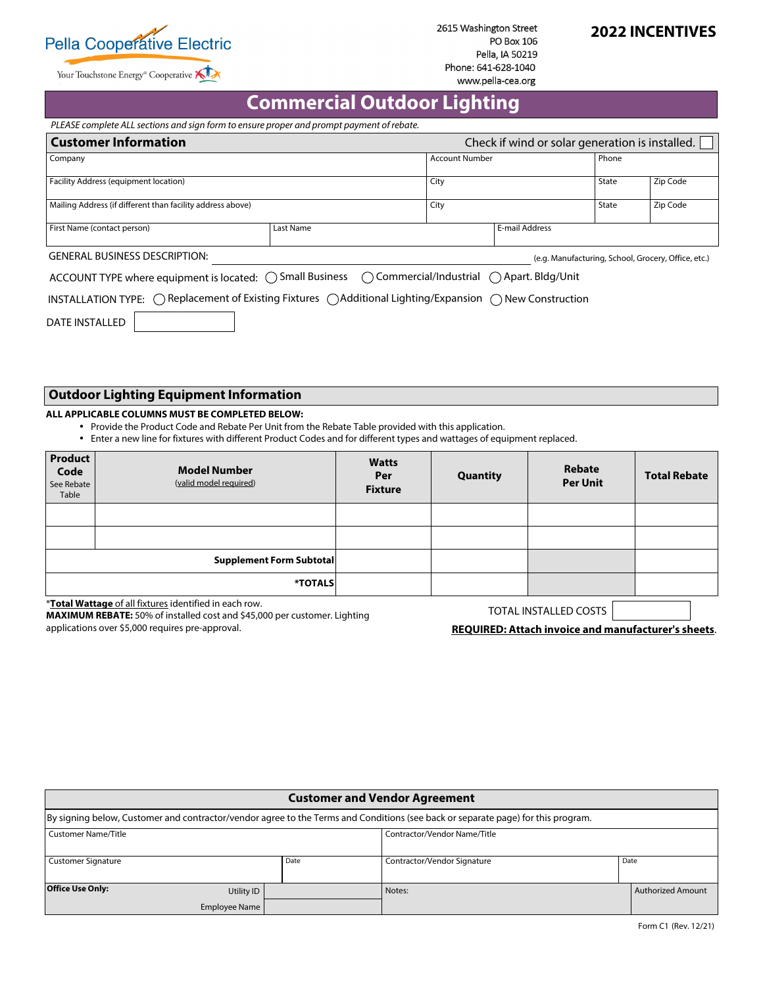

Your Touchstone Energy<sup>®</sup> Cooperative

2615 Washington Street **PO Box 106** Pella, IA 50219 Phone: 641-628-1040 www.pella-cea.org

# **2022 INCENTIVES**

# **Commercial Outdoor Lighting**

 *PLEASE complete ALL sections and sign form to ensure proper and prompt payment of rebate.*

| <b>Customer Information</b><br>Check if wind or solar generation is installed.                                                      |           |                |                       |  |          |  |
|-------------------------------------------------------------------------------------------------------------------------------------|-----------|----------------|-----------------------|--|----------|--|
| Company                                                                                                                             |           |                | <b>Account Number</b> |  | Phone    |  |
| Facility Address (equipment location)                                                                                               |           | , City         |                       |  | Zip Code |  |
| Mailing Address (if different than facility address above)                                                                          |           | City           |                       |  | Zip Code |  |
| First Name (contact person)                                                                                                         | Last Name | E-mail Address |                       |  |          |  |
| <b>GENERAL BUSINESS DESCRIPTION:</b><br>(e.g. Manufacturing, School, Grocery, Office, etc.)                                         |           |                |                       |  |          |  |
| ACCOUNT TYPE where equipment is located: ○ Small Business ○ Commercial/Industrial ○ Apart. Bldg/Unit                                |           |                |                       |  |          |  |
| INSTALLATION TYPE: $\bigcirc$ Replacement of Existing Fixtures $\bigcirc$ Additional Lighting/Expansion $\bigcirc$ New Construction |           |                |                       |  |          |  |
| <b>DATE INSTALLED</b>                                                                                                               |           |                |                       |  |          |  |

 **Outdoor Lighting Equipment Information** 

#### **ALL APPLICABLE COLUMNS MUST BE COMPLETED BELOW:**

- Provide the Product Code and Rebate Per Unit from the Rebate Table provided with this application.
- Enter a new line for fixtures with different Product Codes and for different types and wattages of equipment replaced.

| <b>Product</b><br>Code<br>See Rebate<br>Table | <b>Model Number</b><br>(valid model required) | <b>Watts</b><br>Per<br><b>Fixture</b> | Quantity | Rebate<br><b>Per Unit</b> | <b>Total Rebate</b> |
|-----------------------------------------------|-----------------------------------------------|---------------------------------------|----------|---------------------------|---------------------|
|                                               |                                               |                                       |          |                           |                     |
|                                               |                                               |                                       |          |                           |                     |
|                                               | <b>Supplement Form Subtotal</b>               |                                       |          |                           |                     |
|                                               | *TOTALS                                       |                                       |          |                           |                     |

\***Total Wattage** of all fixtures identified in each row.

**MAXIMUM REBATE:** 50% of installed cost and \$45,000 per customer. Lighting applications over \$5,000 requires pre-approval.

TOTAL INSTALLED COSTS

**REQUIRED: Attach invoice and manufacturer's sheets**.

| <b>Customer and Vendor Agreement</b>                                                                                             |               |      |                              |  |                   |  |
|----------------------------------------------------------------------------------------------------------------------------------|---------------|------|------------------------------|--|-------------------|--|
| By signing below, Customer and contractor/vendor agree to the Terms and Conditions (see back or separate page) for this program. |               |      |                              |  |                   |  |
| <b>Customer Name/Title</b>                                                                                                       |               |      | Contractor/Vendor Name/Title |  |                   |  |
| <b>Customer Signature</b>                                                                                                        |               | Date | Contractor/Vendor Signature  |  | Date              |  |
| <b>Office Use Only:</b>                                                                                                          | Utility ID    |      | Notes:                       |  | Authorized Amount |  |
|                                                                                                                                  | Employee Name |      |                              |  |                   |  |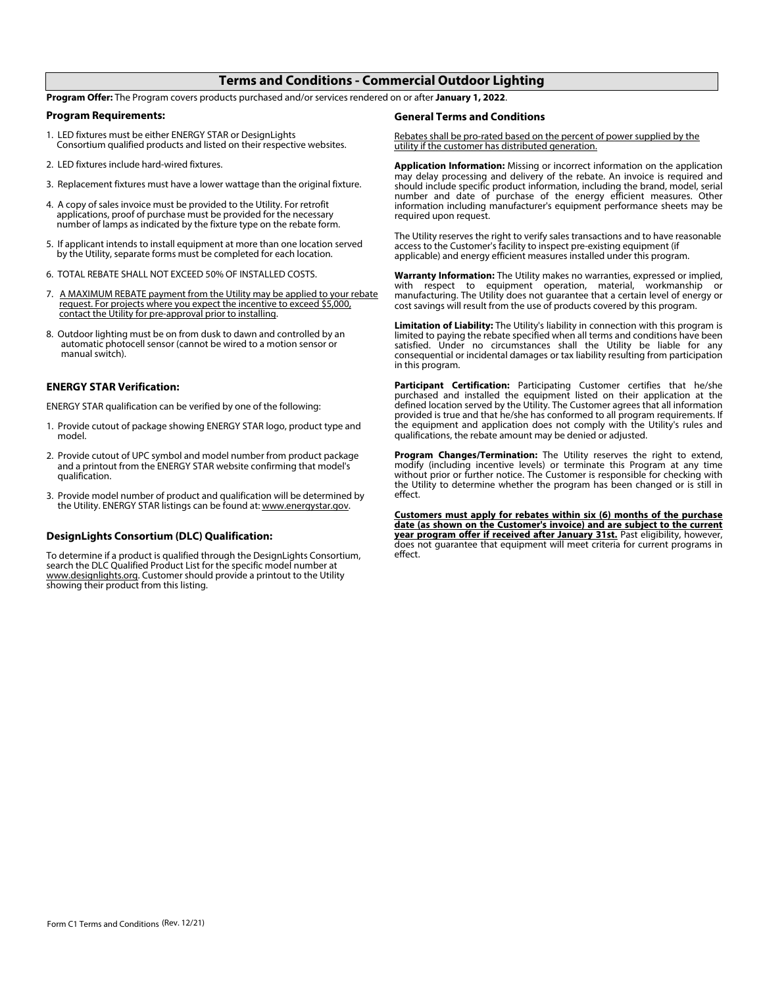### **Terms and Conditions - Commercial Outdoor Lighting**

**Program Offer:** The Program covers products purchased and/or services rendered on or after **January 1, 2022**.

#### **Program Requirements:**

- 1. LED fixtures must be either ENERGY STAR or DesignLights Consortium qualified products and listed on their respective websites.
- 2. LED fixtures include hard-wired fixtures.
- 3. Replacement fixtures must have a lower wattage than the original fixture.
- 4. A copy of sales invoice must be provided to the Utility. For retrofit applications, proof of purchase must be provided for the necessary number of lamps as indicated by the fixture type on the rebate form.
- 5. If applicant intends to install equipment at more than one location served by the Utility, separate forms must be completed for each location.
- 6. TOTAL REBATE SHALL NOT EXCEED 50% OF INSTALLED COSTS.
- 7. A MAXIMUM REBATE payment from the Utility may be applied to your rebate request. For projects where you expect the incentive to exceed \$5,000, contact the Utility for pre-approval prior to installing.
- 8. Outdoor lighting must be on from dusk to dawn and controlled by an automatic photocell sensor (cannot be wired to a motion sensor or manual switch).

#### **ENERGY STAR Verification:**

ENERGY STAR qualification can be verified by one of the following:

- 1. Provide cutout of package showing ENERGY STAR logo, product type and model.
- 2. Provide cutout of UPC symbol and model number from product package and a printout from the ENERGY STAR website confirming that model's qualification.
- 3. Provide model number of product and qualification will be determined by the Utility. ENERGY STAR listings can be found at: www.energystar.gov.

#### **DesignLights Consortium (DLC) Qualification:**

To determine if a product is qualified through the DesignLights Consortium, search the DLC Qualified Product List for the specific model number at www.designlights.org. Customer should provide a printout to the Utility showing their product from this listing.

#### **General Terms and Conditions**

 Rebates shall be pro-rated based on the percent of power supplied by the utility if the customer has distributed generation.

**Application Information:** Missing or incorrect information on the application may delay processing and delivery of the rebate. An invoice is required and should include specific product information, including the brand, model, serial number and date of purchase of the energy efficient measures. Other information including manufacturer's equipment performance sheets may be required upon request.

The Utility reserves the right to verify sales transactions and to have reasonable access to the Customer's facility to inspect pre-existing equipment (if applicable) and energy efficient measures installed under this program.

 **Warranty Information:** The Utility makes no warranties, expressed or implied, with respect to equipment operation, material, workmanship or manufacturing. The Utility does not guarantee that a certain level of energy or cost savings will result from the use of products covered by this program.

 **Limitation of Liability:** The Utility's liability in connection with this program is limited to paying the rebate specified when all terms and conditions have been satisfied. Under no circumstances shall the Utility be liable for any consequential or incidental damages or tax liability resulting from participation in this program.

 **Participant Certification:** Participating Customer certifies that he/she purchased and installed the equipment listed on their application at the defined location served by the Utility. The Customer agrees that all information provided is true and that he/she has conformed to all program requirements. If the equipment and application does not comply with the Utility's rules and qualifications, the rebate amount may be denied or adjusted.

 **Program Changes/Termination:** The Utility reserves the right to extend, modify (including incentive levels) or terminate this Program at any time without prior or further notice. The Customer is responsible for checking with the Utility to determine whether the program has been changed or is still in effect.

**Customers must apply for rebates within six (6) months of the purchase date (as shown on the Customer's invoice) and are subject to the current year program offer if received after January 31st.** Past eligibility, however, does not guarantee that equipment will meet criteria for current programs in effect.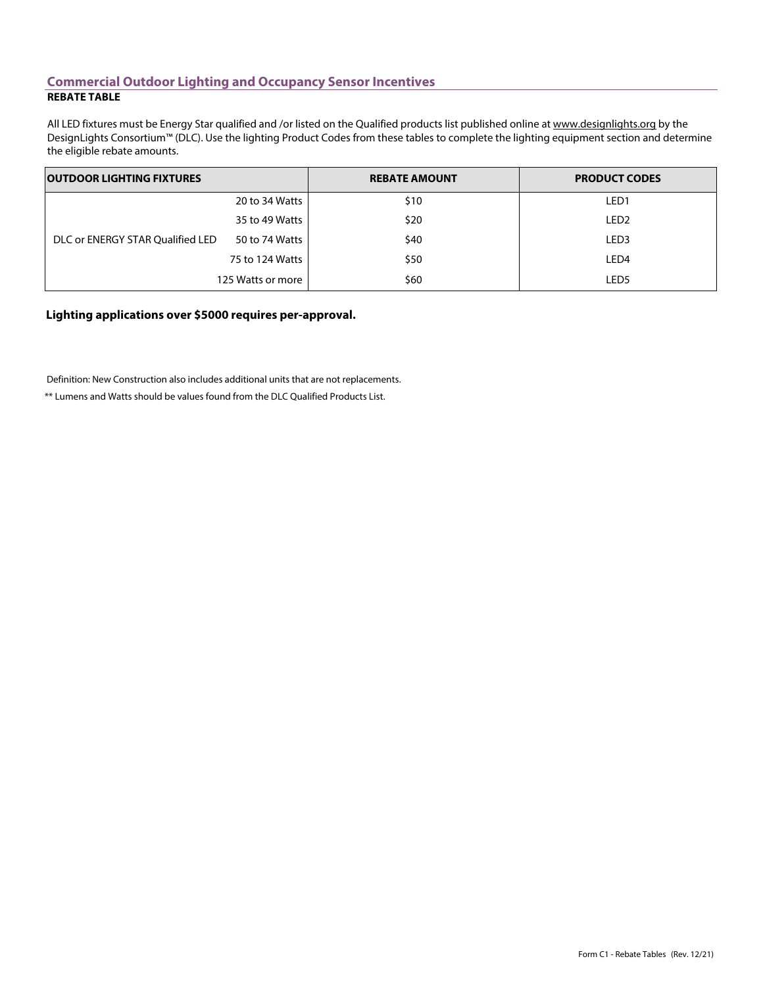### **Commercial Outdoor Lighting and Occupancy Sensor Incentives REBATE TABLE**

All LED fixtures must be Energy Star qualified and /or listed on the Qualified products list published online at www.designlights.org by the DesignLights Consortium™ (DLC). Use the lighting Product Codes from these tables to complete the lighting equipment section and determine the eligible rebate amounts.

| <b>OUTDOOR LIGHTING FIXTURES</b> |                 | <b>REBATE AMOUNT</b> | <b>PRODUCT CODES</b> |  |
|----------------------------------|-----------------|----------------------|----------------------|--|
|                                  | 20 to 34 Watts  | \$10                 | LED <sub>1</sub>     |  |
| DLC or ENERGY STAR Qualified LED | 35 to 49 Watts  | \$20                 | LED <sub>2</sub>     |  |
|                                  | 50 to 74 Watts  | \$40                 | LED <sub>3</sub>     |  |
|                                  | 75 to 124 Watts | \$50                 | LED <sub>4</sub>     |  |
| 125 Watts or more                |                 | \$60                 | LED5                 |  |

**Lighting applications over \$5000 requires per-approval.**

Definition: New Construction also includes additional units that are not replacements.

\*\* Lumens and Watts should be values found from the DLC Qualified Products List.